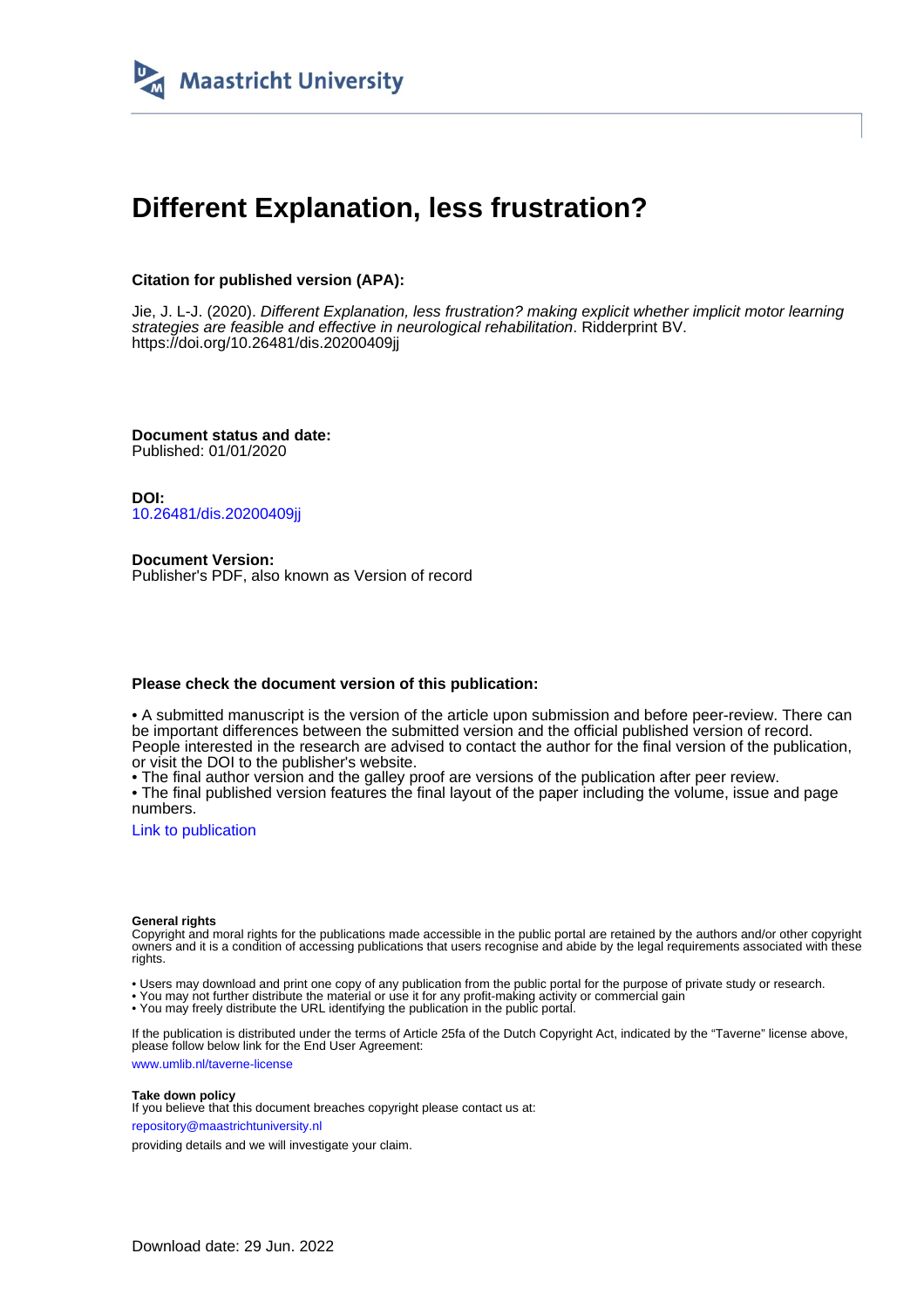

### **Different Explanation, less frustration?**

#### **Citation for published version (APA):**

Jie, J. L-J. (2020). Different Explanation, less frustration? making explicit whether implicit motor learning strategies are feasible and effective in neurological rehabilitation. Ridderprint BV. <https://doi.org/10.26481/dis.20200409jj>

**Document status and date:** Published: 01/01/2020

**DOI:** [10.26481/dis.20200409jj](https://doi.org/10.26481/dis.20200409jj)

**Document Version:** Publisher's PDF, also known as Version of record

#### **Please check the document version of this publication:**

• A submitted manuscript is the version of the article upon submission and before peer-review. There can be important differences between the submitted version and the official published version of record. People interested in the research are advised to contact the author for the final version of the publication, or visit the DOI to the publisher's website.

• The final author version and the galley proof are versions of the publication after peer review.

• The final published version features the final layout of the paper including the volume, issue and page numbers.

[Link to publication](https://cris.maastrichtuniversity.nl/en/publications/c822781d-a848-43cb-b3d9-69c75f15a1b5)

#### **General rights**

Copyright and moral rights for the publications made accessible in the public portal are retained by the authors and/or other copyright owners and it is a condition of accessing publications that users recognise and abide by the legal requirements associated with these rights.

• Users may download and print one copy of any publication from the public portal for the purpose of private study or research.

• You may not further distribute the material or use it for any profit-making activity or commercial gain

• You may freely distribute the URL identifying the publication in the public portal.

If the publication is distributed under the terms of Article 25fa of the Dutch Copyright Act, indicated by the "Taverne" license above, please follow below link for the End User Agreement:

www.umlib.nl/taverne-license

#### **Take down policy**

If you believe that this document breaches copyright please contact us at: repository@maastrichtuniversity.nl

providing details and we will investigate your claim.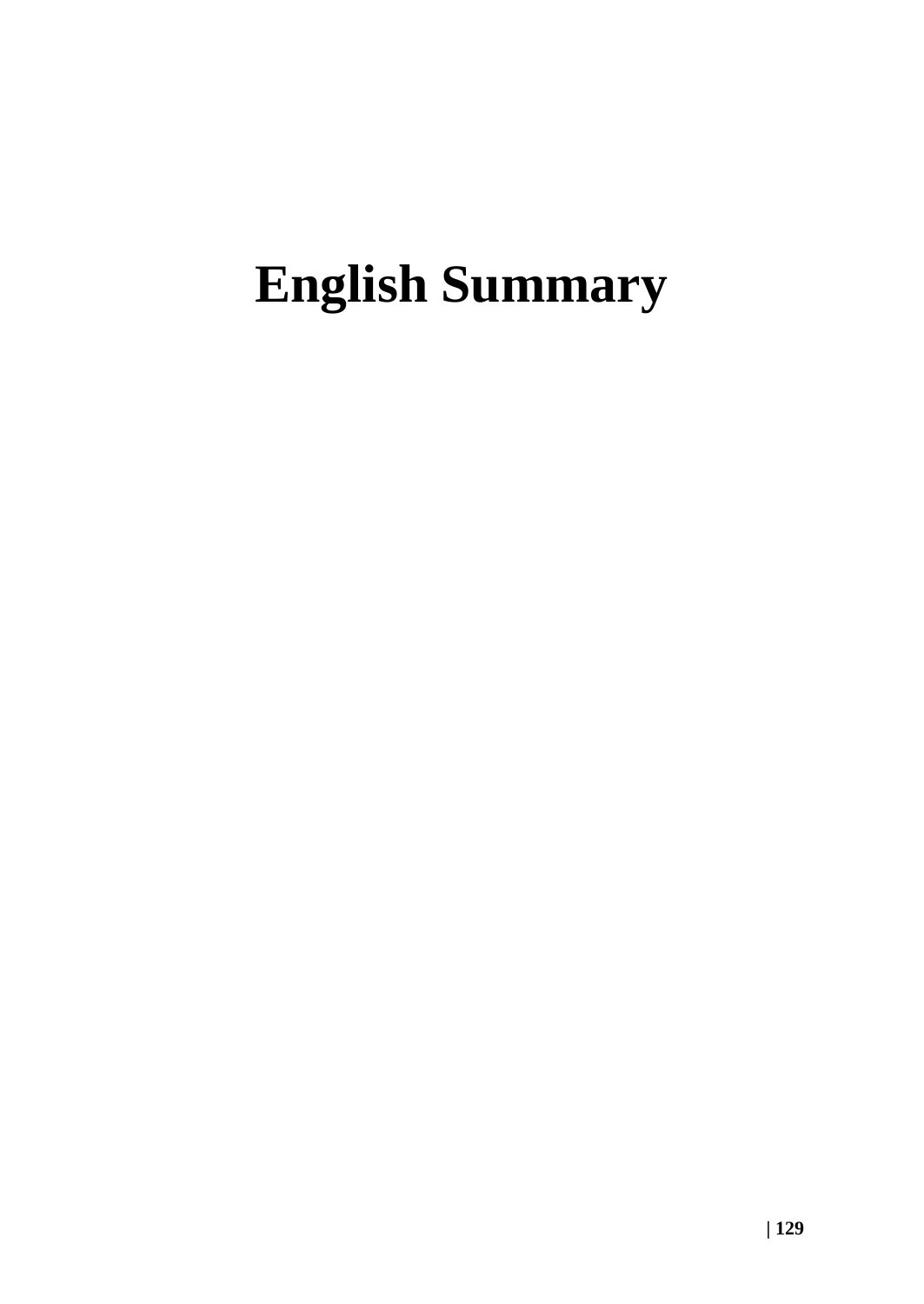## **English Summary**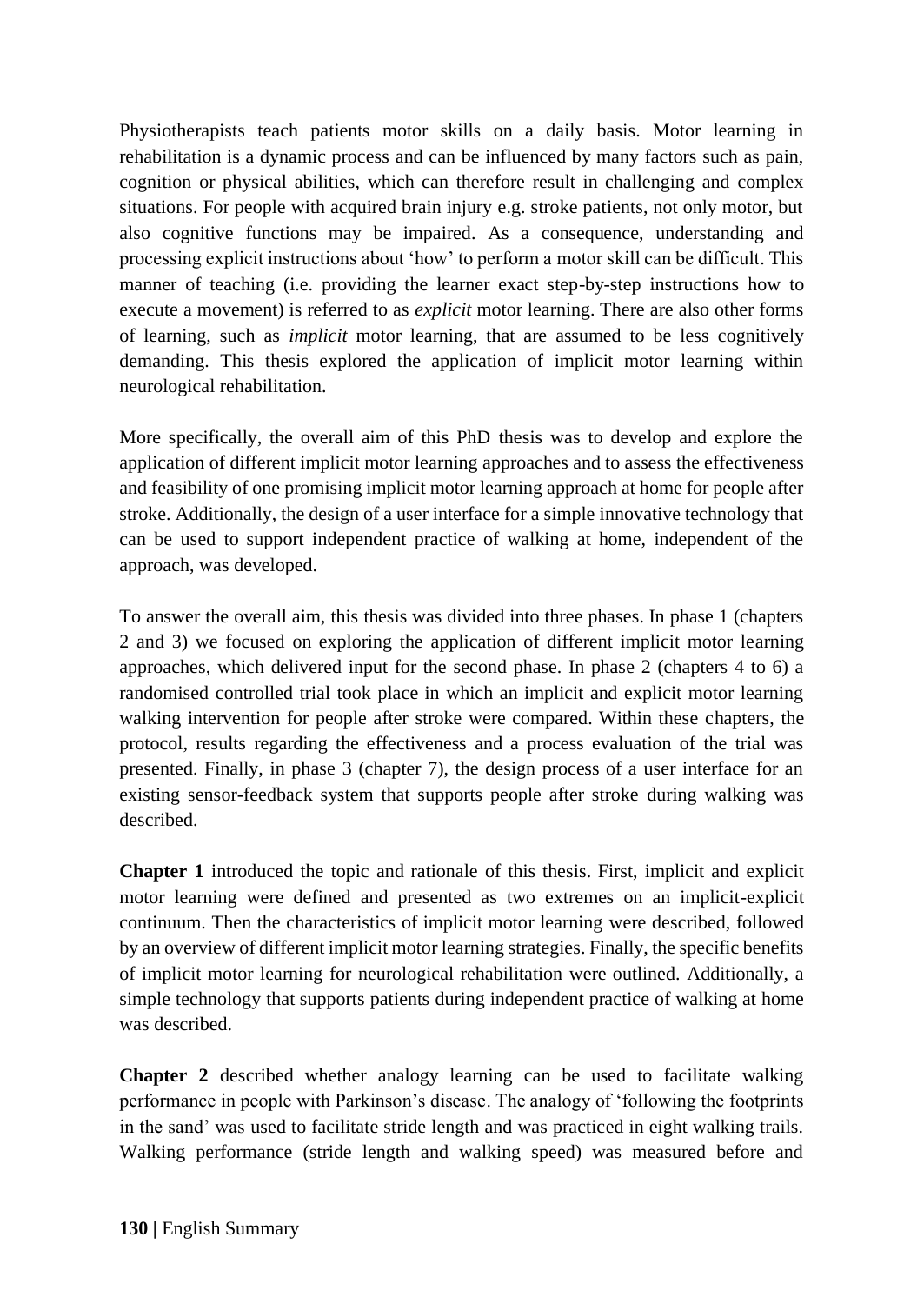Physiotherapists teach patients motor skills on a daily basis. Motor learning in rehabilitation is a dynamic process and can be influenced by many factors such as pain, cognition or physical abilities, which can therefore result in challenging and complex situations. For people with acquired brain injury e.g. stroke patients, not only motor, but also cognitive functions may be impaired. As a consequence, understanding and processing explicit instructions about 'how' to perform a motor skill can be difficult. This manner of teaching (i.e. providing the learner exact step-by-step instructions how to execute a movement) is referred to as *explicit* motor learning. There are also other forms of learning, such as *implicit* motor learning, that are assumed to be less cognitively demanding. This thesis explored the application of implicit motor learning within neurological rehabilitation.

More specifically, the overall aim of this PhD thesis was to develop and explore the application of different implicit motor learning approaches and to assess the effectiveness and feasibility of one promising implicit motor learning approach at home for people after stroke. Additionally, the design of a user interface for a simple innovative technology that can be used to support independent practice of walking at home, independent of the approach, was developed.

To answer the overall aim, this thesis was divided into three phases. In phase 1 (chapters 2 and 3) we focused on exploring the application of different implicit motor learning approaches, which delivered input for the second phase. In phase 2 (chapters 4 to 6) a randomised controlled trial took place in which an implicit and explicit motor learning walking intervention for people after stroke were compared. Within these chapters, the protocol, results regarding the effectiveness and a process evaluation of the trial was presented. Finally, in phase 3 (chapter 7), the design process of a user interface for an existing sensor-feedback system that supports people after stroke during walking was described.

**Chapter 1** introduced the topic and rationale of this thesis. First, implicit and explicit motor learning were defined and presented as two extremes on an implicit-explicit continuum. Then the characteristics of implicit motor learning were described, followed by an overview of different implicit motor learning strategies. Finally, the specific benefits of implicit motor learning for neurological rehabilitation were outlined. Additionally, a simple technology that supports patients during independent practice of walking at home was described.

**Chapter 2** described whether analogy learning can be used to facilitate walking performance in people with Parkinson's disease. The analogy of 'following the footprints in the sand' was used to facilitate stride length and was practiced in eight walking trails. Walking performance (stride length and walking speed) was measured before and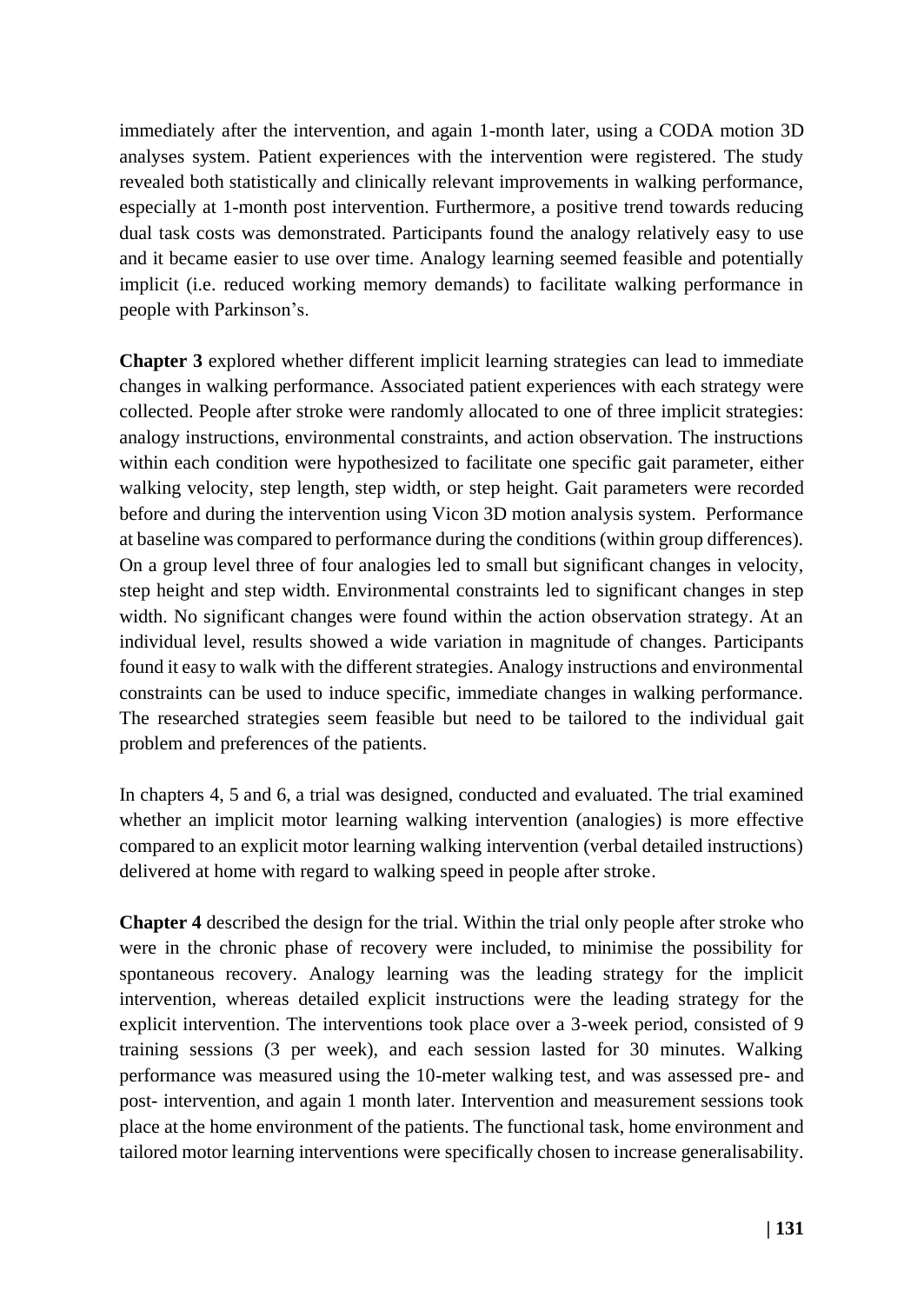immediately after the intervention, and again 1-month later, using a CODA motion 3D analyses system. Patient experiences with the intervention were registered. The study revealed both statistically and clinically relevant improvements in walking performance, especially at 1-month post intervention. Furthermore, a positive trend towards reducing dual task costs was demonstrated. Participants found the analogy relatively easy to use and it became easier to use over time. Analogy learning seemed feasible and potentially implicit (i.e. reduced working memory demands) to facilitate walking performance in people with Parkinson's.

**Chapter 3** explored whether different implicit learning strategies can lead to immediate changes in walking performance. Associated patient experiences with each strategy were collected. People after stroke were randomly allocated to one of three implicit strategies: analogy instructions, environmental constraints, and action observation. The instructions within each condition were hypothesized to facilitate one specific gait parameter, either walking velocity, step length, step width, or step height. Gait parameters were recorded before and during the intervention using Vicon 3D motion analysis system. Performance at baseline was compared to performance during the conditions (within group differences). On a group level three of four analogies led to small but significant changes in velocity, step height and step width. Environmental constraints led to significant changes in step width. No significant changes were found within the action observation strategy. At an individual level, results showed a wide variation in magnitude of changes. Participants found it easy to walk with the different strategies. Analogy instructions and environmental constraints can be used to induce specific, immediate changes in walking performance. The researched strategies seem feasible but need to be tailored to the individual gait problem and preferences of the patients.

In chapters 4, 5 and 6, a trial was designed, conducted and evaluated. The trial examined whether an implicit motor learning walking intervention (analogies) is more effective compared to an explicit motor learning walking intervention (verbal detailed instructions) delivered at home with regard to walking speed in people after stroke.

**Chapter 4** described the design for the trial. Within the trial only people after stroke who were in the chronic phase of recovery were included, to minimise the possibility for spontaneous recovery. Analogy learning was the leading strategy for the implicit intervention, whereas detailed explicit instructions were the leading strategy for the explicit intervention. The interventions took place over a 3-week period, consisted of 9 training sessions (3 per week), and each session lasted for 30 minutes. Walking performance was measured using the 10-meter walking test, and was assessed pre- and post- intervention, and again 1 month later. Intervention and measurement sessions took place at the home environment of the patients. The functional task, home environment and tailored motor learning interventions were specifically chosen to increase generalisability.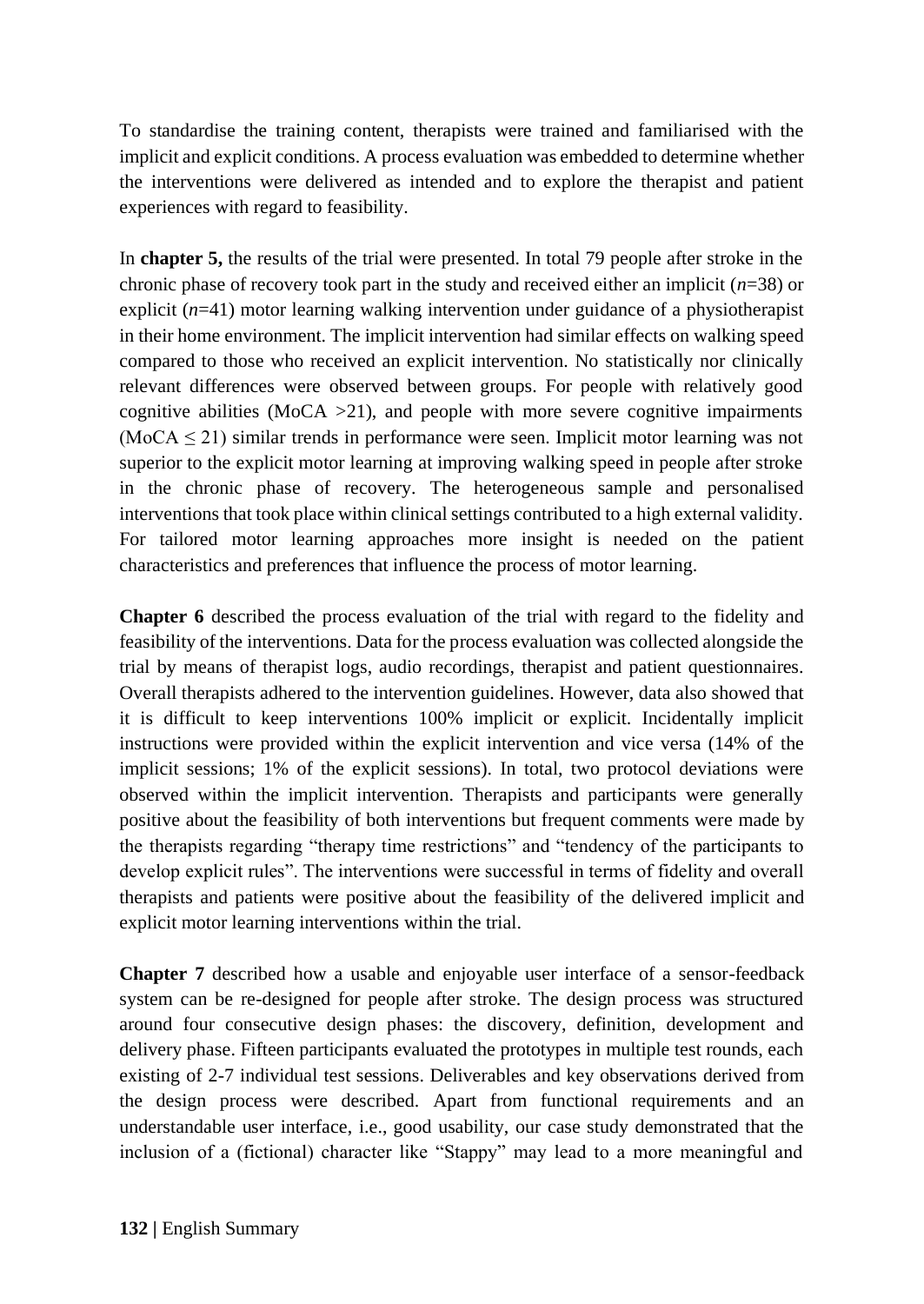To standardise the training content, therapists were trained and familiarised with the implicit and explicit conditions. A process evaluation was embedded to determine whether the interventions were delivered as intended and to explore the therapist and patient experiences with regard to feasibility.

In **chapter 5,** the results of the trial were presented. In total 79 people after stroke in the chronic phase of recovery took part in the study and received either an implicit (*n*=38) or explicit (*n*=41) motor learning walking intervention under guidance of a physiotherapist in their home environment. The implicit intervention had similar effects on walking speed compared to those who received an explicit intervention. No statistically nor clinically relevant differences were observed between groups. For people with relatively good cognitive abilities ( $MOCA > 21$ ), and people with more severe cognitive impairments  $(MoCA \leq 21)$  similar trends in performance were seen. Implicit motor learning was not superior to the explicit motor learning at improving walking speed in people after stroke in the chronic phase of recovery. The heterogeneous sample and personalised interventions that took place within clinical settings contributed to a high external validity. For tailored motor learning approaches more insight is needed on the patient characteristics and preferences that influence the process of motor learning.

**Chapter 6** described the process evaluation of the trial with regard to the fidelity and feasibility of the interventions. Data for the process evaluation was collected alongside the trial by means of therapist logs, audio recordings, therapist and patient questionnaires. Overall therapists adhered to the intervention guidelines. However, data also showed that it is difficult to keep interventions 100% implicit or explicit. Incidentally implicit instructions were provided within the explicit intervention and vice versa (14% of the implicit sessions; 1% of the explicit sessions). In total, two protocol deviations were observed within the implicit intervention. Therapists and participants were generally positive about the feasibility of both interventions but frequent comments were made by the therapists regarding "therapy time restrictions" and "tendency of the participants to develop explicit rules". The interventions were successful in terms of fidelity and overall therapists and patients were positive about the feasibility of the delivered implicit and explicit motor learning interventions within the trial.

**Chapter 7** described how a usable and enjoyable user interface of a sensor-feedback system can be re-designed for people after stroke. The design process was structured around four consecutive design phases: the discovery, definition, development and delivery phase. Fifteen participants evaluated the prototypes in multiple test rounds, each existing of 2-7 individual test sessions. Deliverables and key observations derived from the design process were described. Apart from functional requirements and an understandable user interface, i.e., good usability, our case study demonstrated that the inclusion of a (fictional) character like "Stappy" may lead to a more meaningful and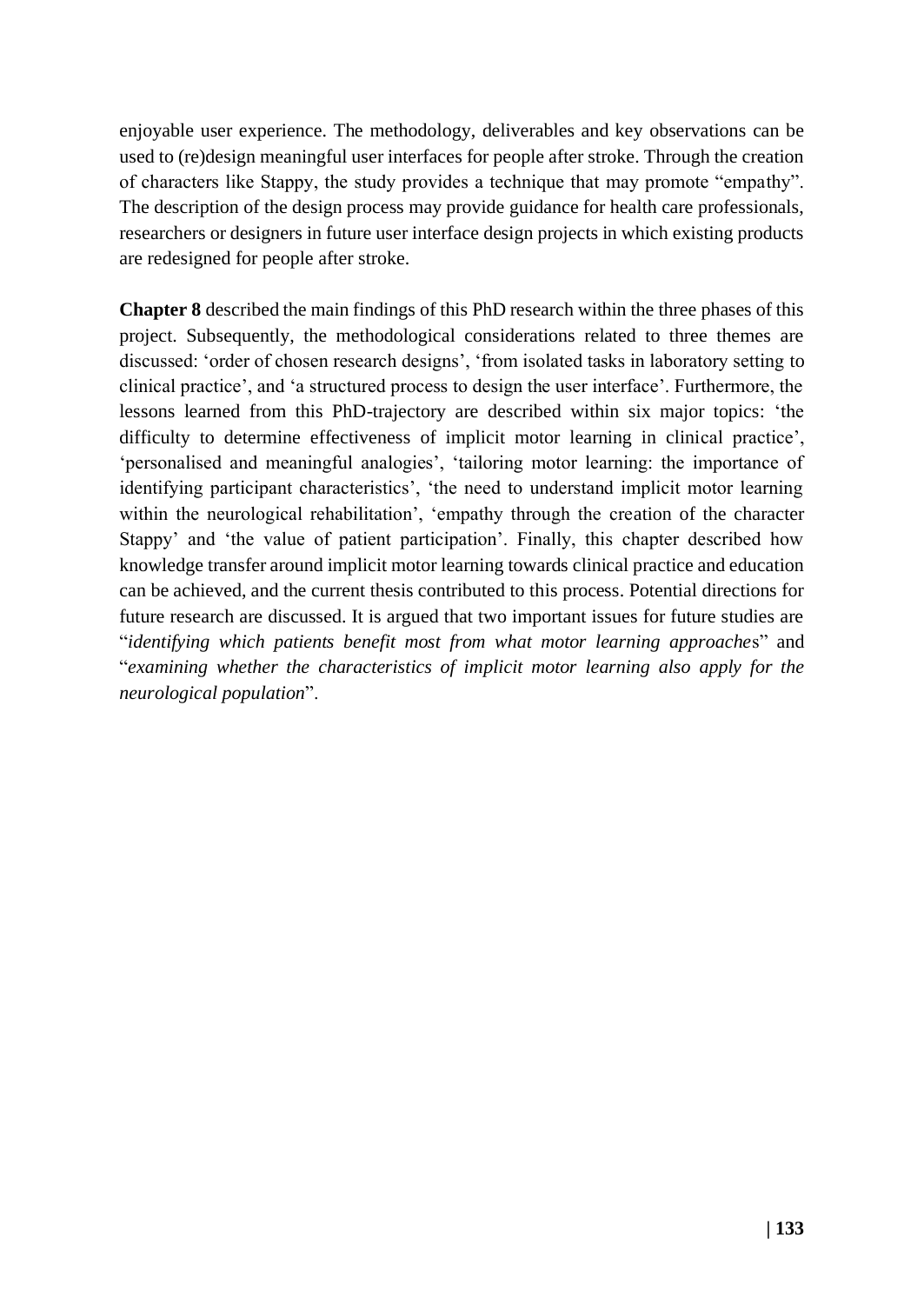enjoyable user experience. The methodology, deliverables and key observations can be used to (re)design meaningful user interfaces for people after stroke. Through the creation of characters like Stappy, the study provides a technique that may promote "empathy". The description of the design process may provide guidance for health care professionals, researchers or designers in future user interface design projects in which existing products are redesigned for people after stroke.

**Chapter 8** described the main findings of this PhD research within the three phases of this project. Subsequently, the methodological considerations related to three themes are discussed: 'order of chosen research designs', 'from isolated tasks in laboratory setting to clinical practice', and 'a structured process to design the user interface'. Furthermore, the lessons learned from this PhD-trajectory are described within six major topics: 'the difficulty to determine effectiveness of implicit motor learning in clinical practice', 'personalised and meaningful analogies', 'tailoring motor learning: the importance of identifying participant characteristics', 'the need to understand implicit motor learning within the neurological rehabilitation', 'empathy through the creation of the character Stappy' and 'the value of patient participation'. Finally, this chapter described how knowledge transfer around implicit motor learning towards clinical practice and education can be achieved, and the current thesis contributed to this process. Potential directions for future research are discussed. It is argued that two important issues for future studies are "*identifying which patients benefit most from what motor learning approache*s" and "*examining whether the characteristics of implicit motor learning also apply for the neurological population*".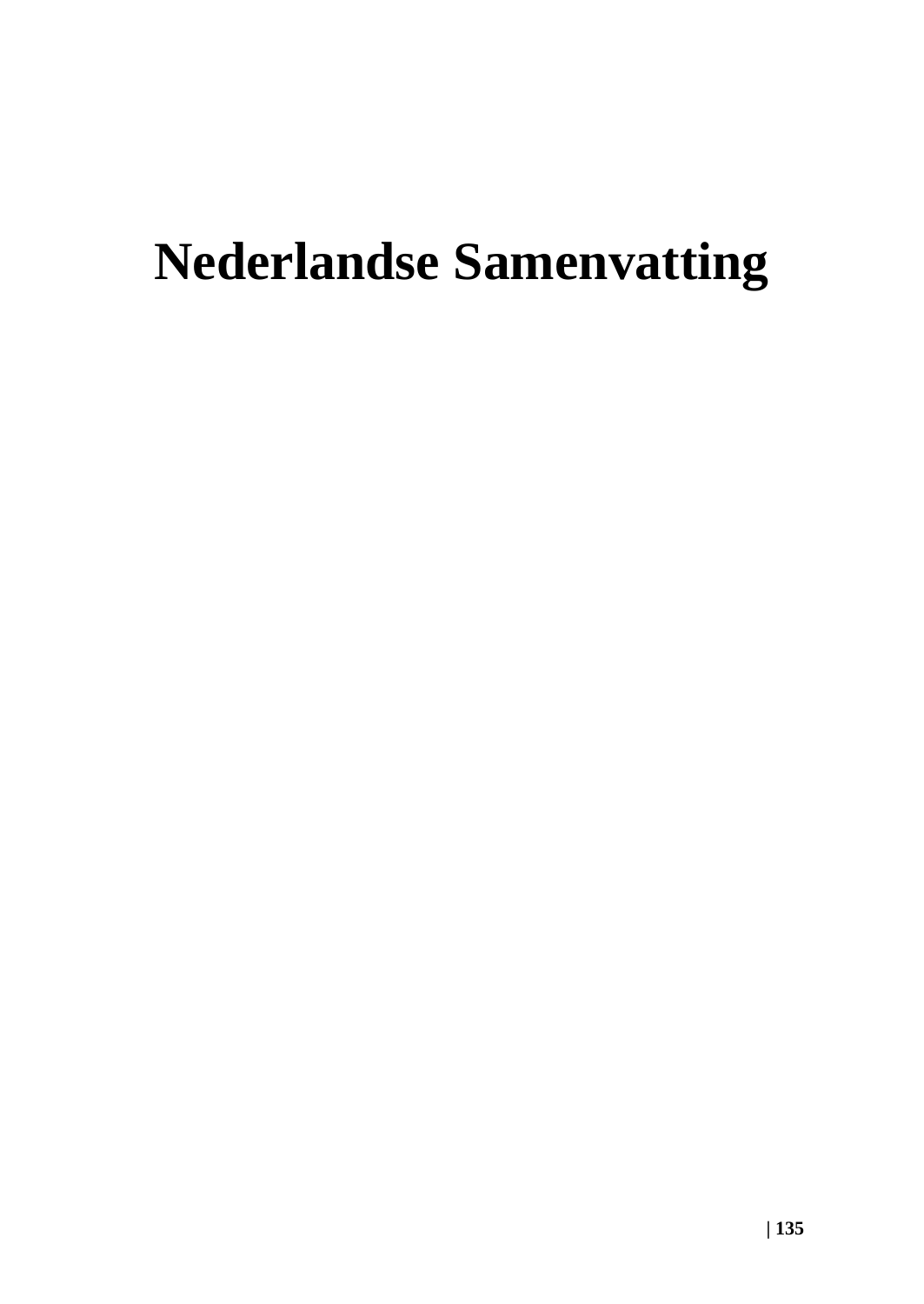# **Nederlandse Samenvatting**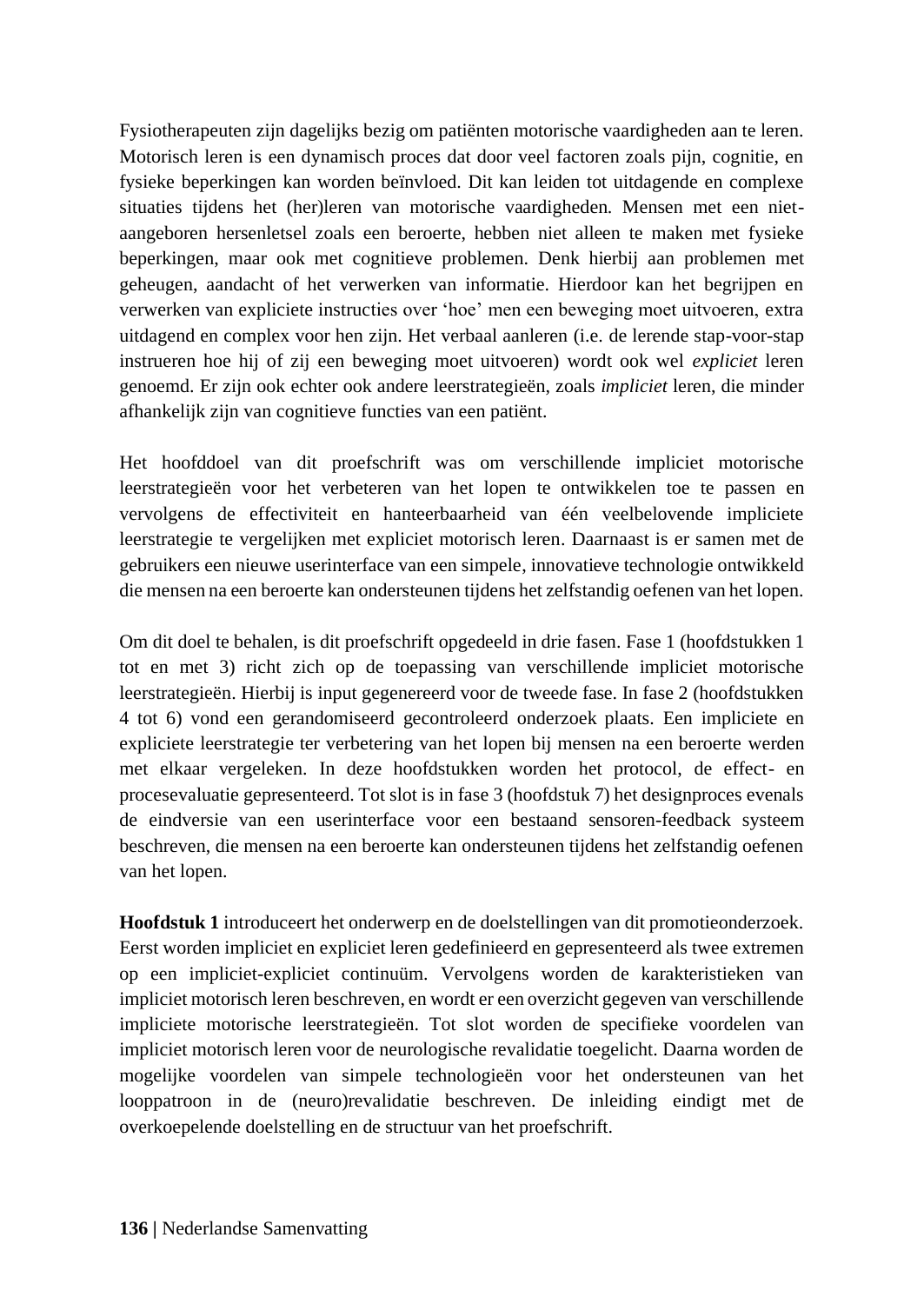Fysiotherapeuten zijn dagelijks bezig om patiënten motorische vaardigheden aan te leren. Motorisch leren is een dynamisch proces dat door veel factoren zoals pijn, cognitie, en fysieke beperkingen kan worden beïnvloed. Dit kan leiden tot uitdagende en complexe situaties tijdens het (her)leren van motorische vaardigheden. Mensen met een nietaangeboren hersenletsel zoals een beroerte, hebben niet alleen te maken met fysieke beperkingen, maar ook met cognitieve problemen. Denk hierbij aan problemen met geheugen, aandacht of het verwerken van informatie. Hierdoor kan het begrijpen en verwerken van expliciete instructies over 'hoe' men een beweging moet uitvoeren, extra uitdagend en complex voor hen zijn. Het verbaal aanleren (i.e. de lerende stap-voor-stap instrueren hoe hij of zij een beweging moet uitvoeren) wordt ook wel *expliciet* leren genoemd. Er zijn ook echter ook andere leerstrategieën, zoals *impliciet* leren, die minder afhankelijk zijn van cognitieve functies van een patiënt.

Het hoofddoel van dit proefschrift was om verschillende impliciet motorische leerstrategieën voor het verbeteren van het lopen te ontwikkelen toe te passen en vervolgens de effectiviteit en hanteerbaarheid van één veelbelovende impliciete leerstrategie te vergelijken met expliciet motorisch leren. Daarnaast is er samen met de gebruikers een nieuwe userinterface van een simpele, innovatieve technologie ontwikkeld die mensen na een beroerte kan ondersteunen tijdens het zelfstandig oefenen van het lopen.

Om dit doel te behalen, is dit proefschrift opgedeeld in drie fasen. Fase 1 (hoofdstukken 1 tot en met 3) richt zich op de toepassing van verschillende impliciet motorische leerstrategieën. Hierbij is input gegenereerd voor de tweede fase. In fase 2 (hoofdstukken 4 tot 6) vond een gerandomiseerd gecontroleerd onderzoek plaats. Een impliciete en expliciete leerstrategie ter verbetering van het lopen bij mensen na een beroerte werden met elkaar vergeleken. In deze hoofdstukken worden het protocol, de effect- en procesevaluatie gepresenteerd. Tot slot is in fase 3 (hoofdstuk 7) het designproces evenals de eindversie van een userinterface voor een bestaand sensoren-feedback systeem beschreven, die mensen na een beroerte kan ondersteunen tijdens het zelfstandig oefenen van het lopen.

**Hoofdstuk 1** introduceert het onderwerp en de doelstellingen van dit promotieonderzoek. Eerst worden impliciet en expliciet leren gedefinieerd en gepresenteerd als twee extremen op een impliciet-expliciet continuüm. Vervolgens worden de karakteristieken van impliciet motorisch leren beschreven, en wordt er een overzicht gegeven van verschillende impliciete motorische leerstrategieën. Tot slot worden de specifieke voordelen van impliciet motorisch leren voor de neurologische revalidatie toegelicht. Daarna worden de mogelijke voordelen van simpele technologieën voor het ondersteunen van het looppatroon in de (neuro)revalidatie beschreven. De inleiding eindigt met de overkoepelende doelstelling en de structuur van het proefschrift.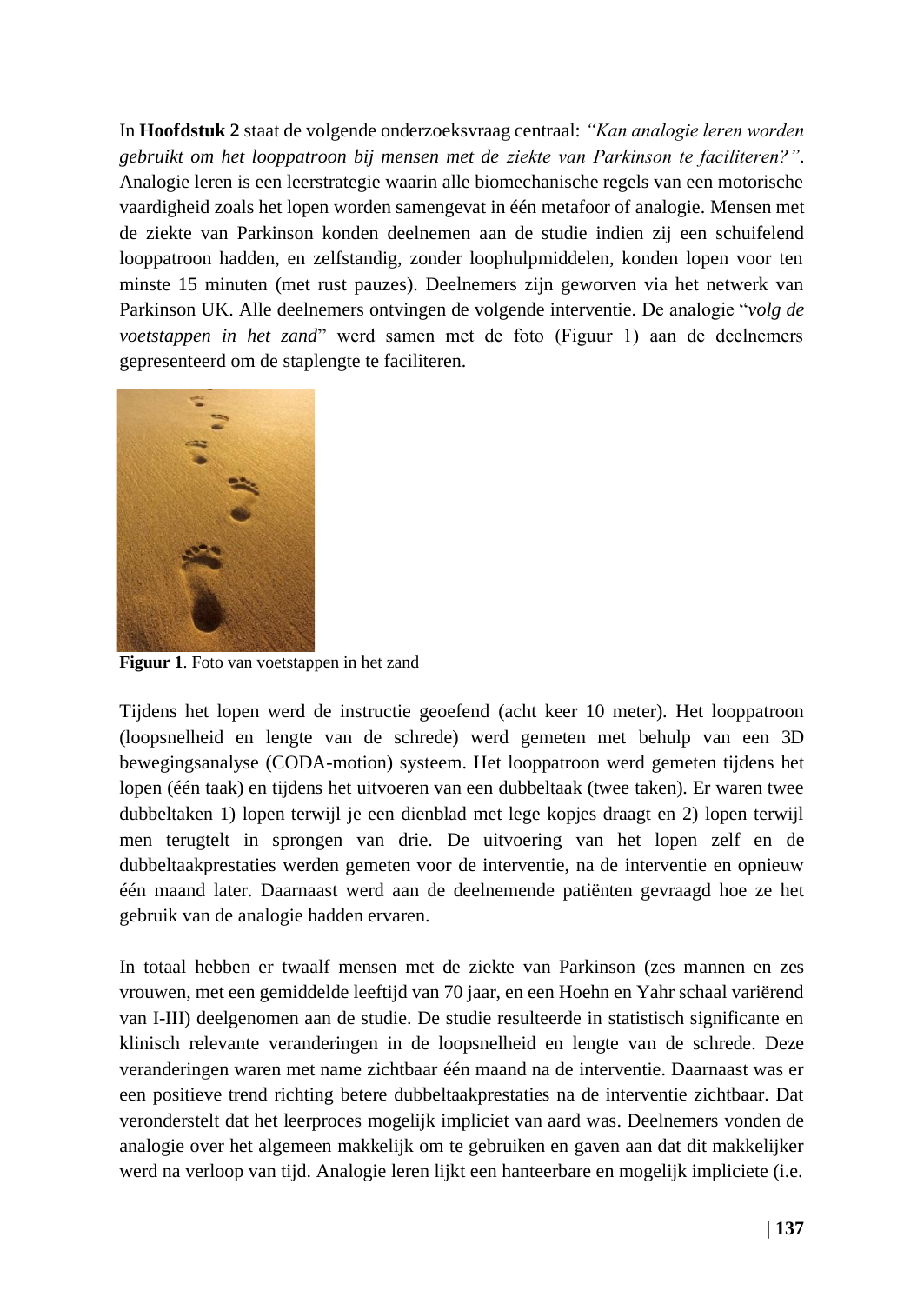In **Hoofdstuk 2** staat de volgende onderzoeksvraag centraal: *"Kan analogie leren worden gebruikt om het looppatroon bij mensen met de ziekte van Parkinson te faciliteren?"*. Analogie leren is een leerstrategie waarin alle biomechanische regels van een motorische vaardigheid zoals het lopen worden samengevat in één metafoor of analogie. Mensen met de ziekte van Parkinson konden deelnemen aan de studie indien zij een schuifelend looppatroon hadden, en zelfstandig, zonder loophulpmiddelen, konden lopen voor ten minste 15 minuten (met rust pauzes). Deelnemers zijn geworven via het netwerk van Parkinson UK. Alle deelnemers ontvingen de volgende interventie. De analogie "*volg de voetstappen in het zand*" werd samen met de foto (Figuur 1) aan de deelnemers gepresenteerd om de staplengte te faciliteren.



**Figuur 1**. Foto van voetstappen in het zand

Tijdens het lopen werd de instructie geoefend (acht keer 10 meter). Het looppatroon (loopsnelheid en lengte van de schrede) werd gemeten met behulp van een 3D bewegingsanalyse (CODA-motion) systeem. Het looppatroon werd gemeten tijdens het lopen (één taak) en tijdens het uitvoeren van een dubbeltaak (twee taken). Er waren twee dubbeltaken 1) lopen terwijl je een dienblad met lege kopjes draagt en 2) lopen terwijl men terugtelt in sprongen van drie. De uitvoering van het lopen zelf en de dubbeltaakprestaties werden gemeten voor de interventie, na de interventie en opnieuw één maand later. Daarnaast werd aan de deelnemende patiënten gevraagd hoe ze het gebruik van de analogie hadden ervaren.

In totaal hebben er twaalf mensen met de ziekte van Parkinson (zes mannen en zes vrouwen, met een gemiddelde leeftijd van 70 jaar, en een Hoehn en Yahr schaal variërend van I-III) deelgenomen aan de studie. De studie resulteerde in statistisch significante en klinisch relevante veranderingen in de loopsnelheid en lengte van de schrede. Deze veranderingen waren met name zichtbaar één maand na de interventie. Daarnaast was er een positieve trend richting betere dubbeltaakprestaties na de interventie zichtbaar. Dat veronderstelt dat het leerproces mogelijk impliciet van aard was. Deelnemers vonden de analogie over het algemeen makkelijk om te gebruiken en gaven aan dat dit makkelijker werd na verloop van tijd. Analogie leren lijkt een hanteerbare en mogelijk impliciete (i.e.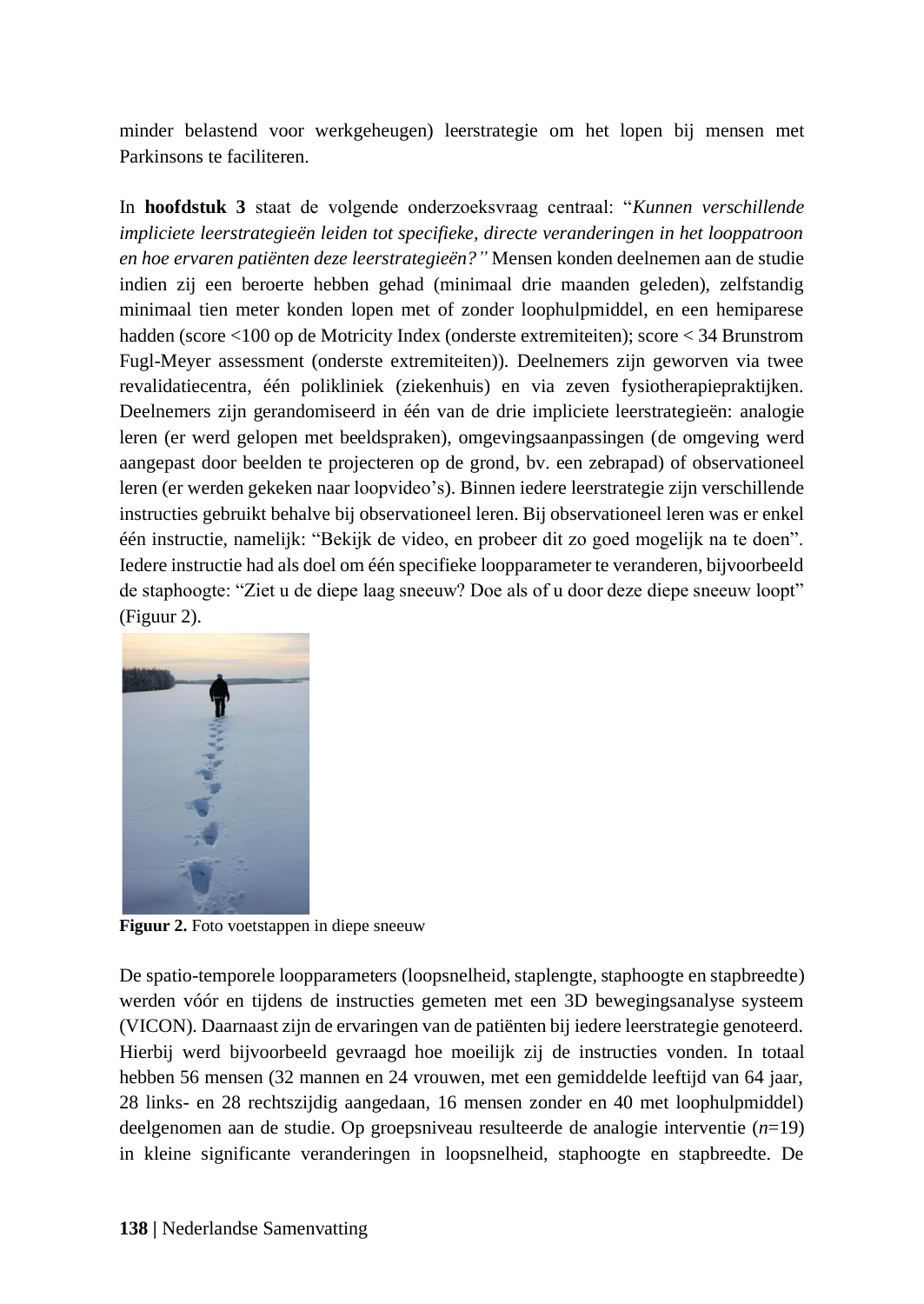minder belastend voor werkgeheugen) leerstrategie om het lopen bij mensen met Parkinsons te faciliteren.

In **hoofdstuk 3** staat de volgende onderzoeksvraag centraal: "*Kunnen verschillende impliciete leerstrategieën leiden tot specifieke, directe veranderingen in het looppatroon en hoe ervaren patiënten deze leerstrategieën?"* Mensen konden deelnemen aan de studie indien zij een beroerte hebben gehad (minimaal drie maanden geleden), zelfstandig minimaal tien meter konden lopen met of zonder loophulpmiddel, en een hemiparese hadden (score <100 op de Motricity Index (onderste extremiteiten); score < 34 Brunstrom Fugl-Meyer assessment (onderste extremiteiten)). Deelnemers zijn geworven via twee revalidatiecentra, één polikliniek (ziekenhuis) en via zeven fysiotherapiepraktijken. Deelnemers zijn gerandomiseerd in één van de drie impliciete leerstrategieën: analogie leren (er werd gelopen met beeldspraken), omgevingsaanpassingen (de omgeving werd aangepast door beelden te projecteren op de grond, bv. een zebrapad) of observationeel leren (er werden gekeken naar loopvideo's). Binnen iedere leerstrategie zijn verschillende instructies gebruikt behalve bij observationeel leren. Bij observationeel leren was er enkel één instructie, namelijk: "Bekijk de video, en probeer dit zo goed mogelijk na te doen". Iedere instructie had als doel om één specifieke loopparameter te veranderen, bijvoorbeeld de staphoogte: "Ziet u de diepe laag sneeuw? Doe als of u door deze diepe sneeuw loopt" (Figuur 2).



**Figuur 2.** Foto voetstappen in diepe sneeuw

De spatio-temporele loopparameters (loopsnelheid, staplengte, staphoogte en stapbreedte) werden vóór en tijdens de instructies gemeten met een 3D bewegingsanalyse systeem (VICON). Daarnaast zijn de ervaringen van de patiënten bij iedere leerstrategie genoteerd. Hierbij werd bijvoorbeeld gevraagd hoe moeilijk zij de instructies vonden. In totaal hebben 56 mensen (32 mannen en 24 vrouwen, met een gemiddelde leeftijd van 64 jaar, 28 links- en 28 rechtszijdig aangedaan, 16 mensen zonder en 40 met loophulpmiddel) deelgenomen aan de studie. Op groepsniveau resulteerde de analogie interventie (*n*=19) in kleine significante veranderingen in loopsnelheid, staphoogte en stapbreedte. De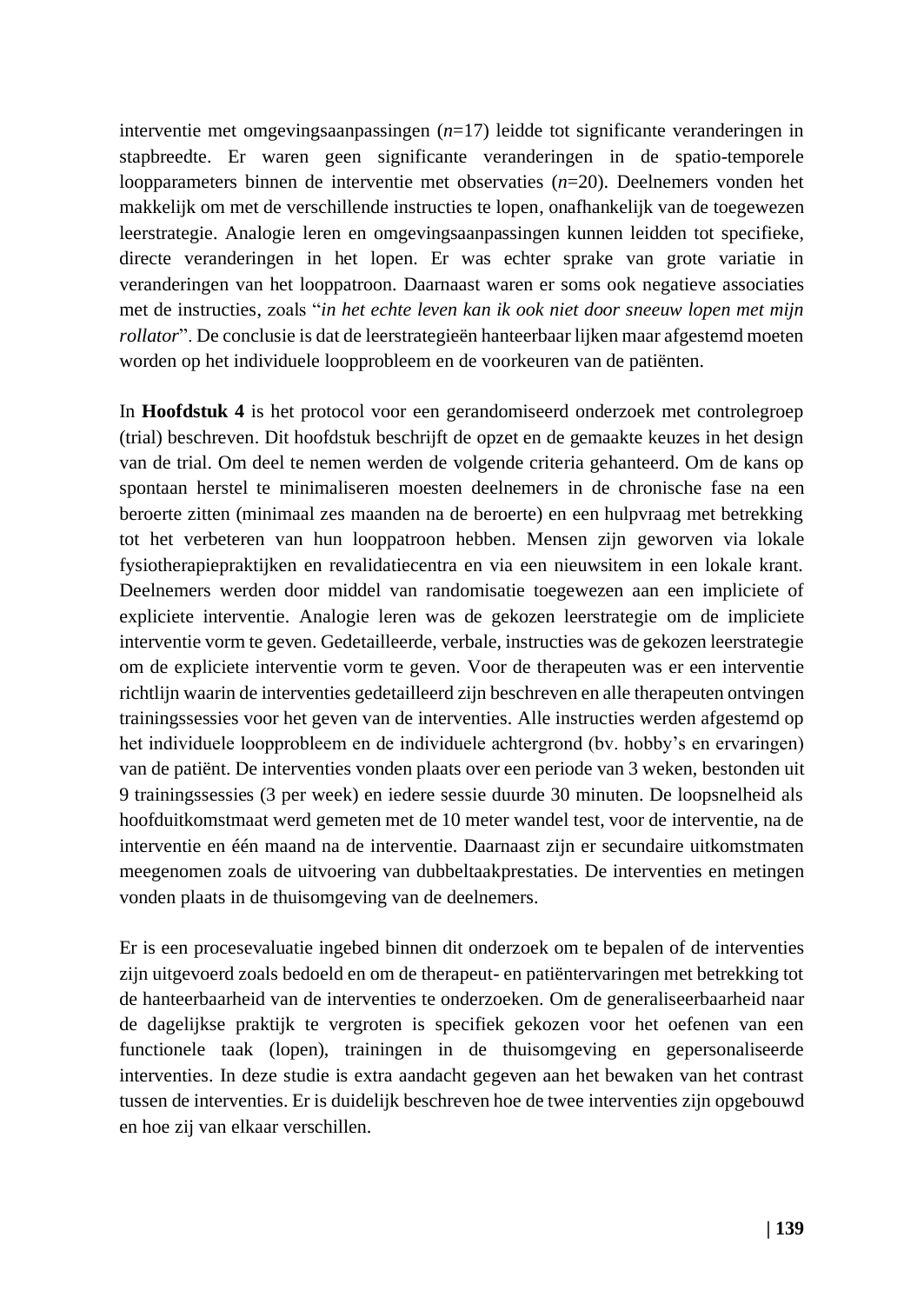interventie met omgevingsaanpassingen (*n*=17) leidde tot significante veranderingen in stapbreedte. Er waren geen significante veranderingen in de spatio-temporele loopparameters binnen de interventie met observaties (*n*=20). Deelnemers vonden het makkelijk om met de verschillende instructies te lopen, onafhankelijk van de toegewezen leerstrategie. Analogie leren en omgevingsaanpassingen kunnen leidden tot specifieke, directe veranderingen in het lopen. Er was echter sprake van grote variatie in veranderingen van het looppatroon. Daarnaast waren er soms ook negatieve associaties met de instructies, zoals "*in het echte leven kan ik ook niet door sneeuw lopen met mijn rollator*". De conclusie is dat de leerstrategieën hanteerbaar lijken maar afgestemd moeten worden op het individuele loopprobleem en de voorkeuren van de patiënten.

In **Hoofdstuk 4** is het protocol voor een gerandomiseerd onderzoek met controlegroep (trial) beschreven. Dit hoofdstuk beschrijft de opzet en de gemaakte keuzes in het design van de trial. Om deel te nemen werden de volgende criteria gehanteerd. Om de kans op spontaan herstel te minimaliseren moesten deelnemers in de chronische fase na een beroerte zitten (minimaal zes maanden na de beroerte) en een hulpvraag met betrekking tot het verbeteren van hun looppatroon hebben. Mensen zijn geworven via lokale fysiotherapiepraktijken en revalidatiecentra en via een nieuwsitem in een lokale krant. Deelnemers werden door middel van randomisatie toegewezen aan een impliciete of expliciete interventie. Analogie leren was de gekozen leerstrategie om de impliciete interventie vorm te geven. Gedetailleerde, verbale, instructies was de gekozen leerstrategie om de expliciete interventie vorm te geven. Voor de therapeuten was er een interventie richtlijn waarin de interventies gedetailleerd zijn beschreven en alle therapeuten ontvingen trainingssessies voor het geven van de interventies. Alle instructies werden afgestemd op het individuele loopprobleem en de individuele achtergrond (bv. hobby's en ervaringen) van de patiënt. De interventies vonden plaats over een periode van 3 weken, bestonden uit 9 trainingssessies (3 per week) en iedere sessie duurde 30 minuten. De loopsnelheid als hoofduitkomstmaat werd gemeten met de 10 meter wandel test, voor de interventie, na de interventie en één maand na de interventie. Daarnaast zijn er secundaire uitkomstmaten meegenomen zoals de uitvoering van dubbeltaakprestaties. De interventies en metingen vonden plaats in de thuisomgeving van de deelnemers.

Er is een procesevaluatie ingebed binnen dit onderzoek om te bepalen of de interventies zijn uitgevoerd zoals bedoeld en om de therapeut- en patiëntervaringen met betrekking tot de hanteerbaarheid van de interventies te onderzoeken. Om de generaliseerbaarheid naar de dagelijkse praktijk te vergroten is specifiek gekozen voor het oefenen van een functionele taak (lopen), trainingen in de thuisomgeving en gepersonaliseerde interventies. In deze studie is extra aandacht gegeven aan het bewaken van het contrast tussen de interventies. Er is duidelijk beschreven hoe de twee interventies zijn opgebouwd en hoe zij van elkaar verschillen.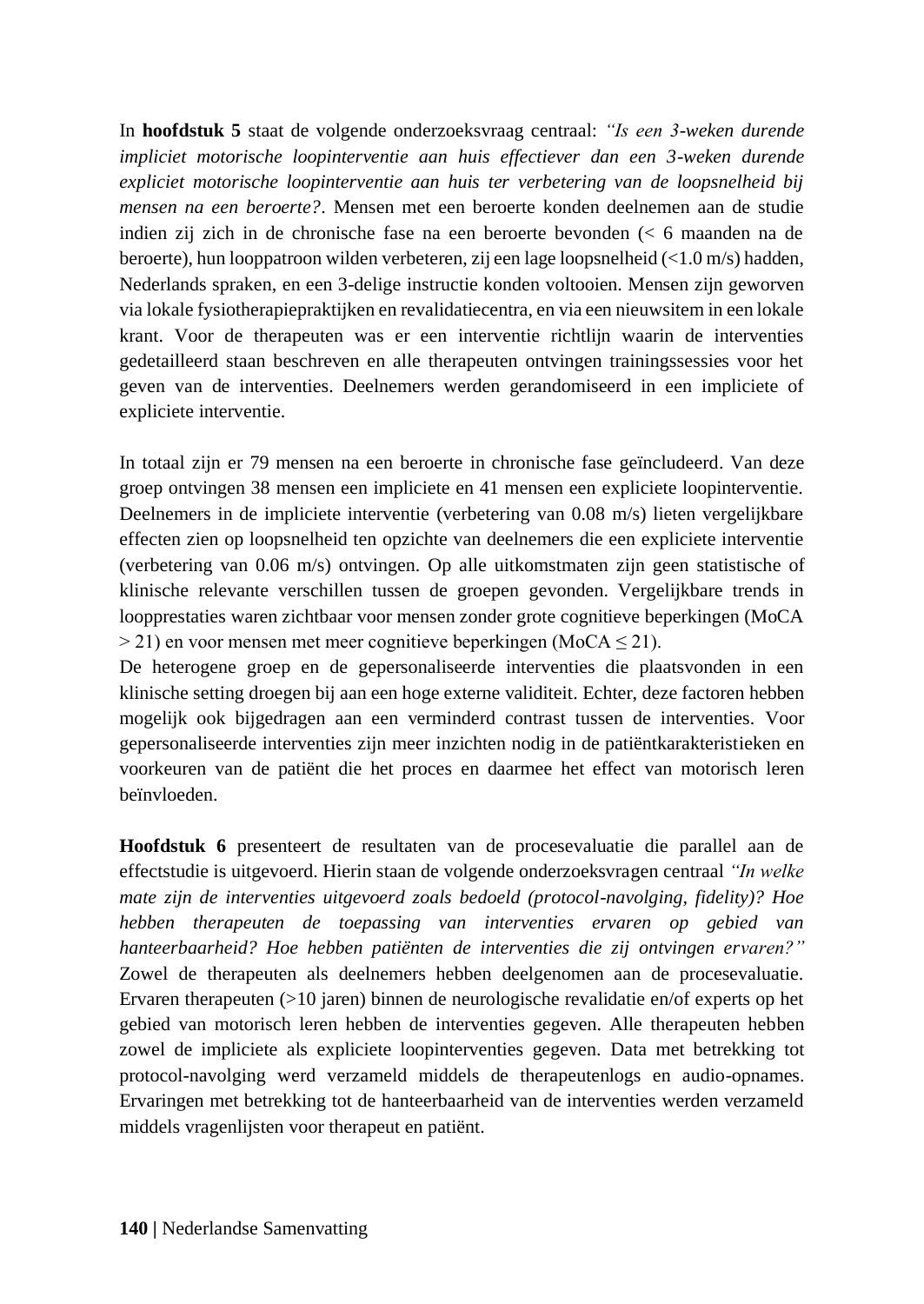In **hoofdstuk 5** staat de volgende onderzoeksvraag centraal: *"Is een 3-weken durende impliciet motorische loopinterventie aan huis effectiever dan een 3-weken durende expliciet motorische loopinterventie aan huis ter verbetering van de loopsnelheid bij mensen na een beroerte?*. Mensen met een beroerte konden deelnemen aan de studie indien zij zich in de chronische fase na een beroerte bevonden (< 6 maanden na de beroerte), hun looppatroon wilden verbeteren, zij een lage loopsnelheid (<1.0 m/s) hadden, Nederlands spraken, en een 3-delige instructie konden voltooien. Mensen zijn geworven via lokale fysiotherapiepraktijken en revalidatiecentra, en via een nieuwsitem in een lokale krant. Voor de therapeuten was er een interventie richtlijn waarin de interventies gedetailleerd staan beschreven en alle therapeuten ontvingen trainingssessies voor het geven van de interventies. Deelnemers werden gerandomiseerd in een impliciete of expliciete interventie.

In totaal zijn er 79 mensen na een beroerte in chronische fase geïncludeerd. Van deze groep ontvingen 38 mensen een impliciete en 41 mensen een expliciete loopinterventie. Deelnemers in de impliciete interventie (verbetering van 0.08 m/s) lieten vergelijkbare effecten zien op loopsnelheid ten opzichte van deelnemers die een expliciete interventie (verbetering van 0.06 m/s) ontvingen. Op alle uitkomstmaten zijn geen statistische of klinische relevante verschillen tussen de groepen gevonden. Vergelijkbare trends in loopprestaties waren zichtbaar voor mensen zonder grote cognitieve beperkingen (MoCA  $>$  21) en voor mensen met meer cognitieve beperkingen (MoCA  $\leq$  21).

De heterogene groep en de gepersonaliseerde interventies die plaatsvonden in een klinische setting droegen bij aan een hoge externe validiteit. Echter, deze factoren hebben mogelijk ook bijgedragen aan een verminderd contrast tussen de interventies. Voor gepersonaliseerde interventies zijn meer inzichten nodig in de patiëntkarakteristieken en voorkeuren van de patiënt die het proces en daarmee het effect van motorisch leren beïnvloeden.

**Hoofdstuk 6** presenteert de resultaten van de procesevaluatie die parallel aan de effectstudie is uitgevoerd. Hierin staan de volgende onderzoeksvragen centraal *"In welke mate zijn de interventies uitgevoerd zoals bedoeld (protocol-navolging, fidelity)? Hoe hebben therapeuten de toepassing van interventies ervaren op gebied van hanteerbaarheid? Hoe hebben patiënten de interventies die zij ontvingen ervaren?"* Zowel de therapeuten als deelnemers hebben deelgenomen aan de procesevaluatie. Ervaren therapeuten (>10 jaren) binnen de neurologische revalidatie en/of experts op het gebied van motorisch leren hebben de interventies gegeven. Alle therapeuten hebben zowel de impliciete als expliciete loopinterventies gegeven. Data met betrekking tot protocol-navolging werd verzameld middels de therapeutenlogs en audio-opnames. Ervaringen met betrekking tot de hanteerbaarheid van de interventies werden verzameld middels vragenlijsten voor therapeut en patiënt.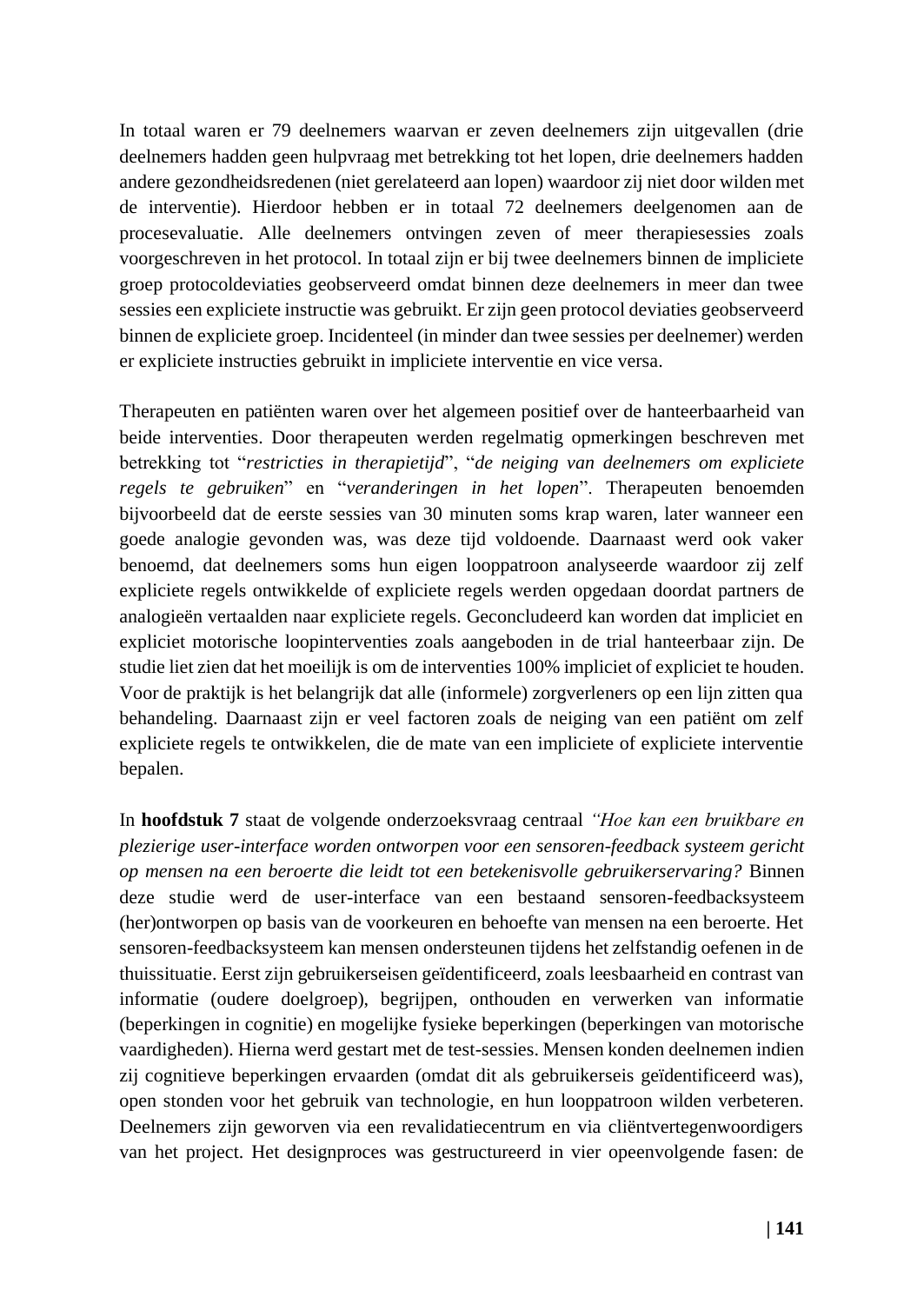In totaal waren er 79 deelnemers waarvan er zeven deelnemers zijn uitgevallen (drie deelnemers hadden geen hulpvraag met betrekking tot het lopen, drie deelnemers hadden andere gezondheidsredenen (niet gerelateerd aan lopen) waardoor zij niet door wilden met de interventie). Hierdoor hebben er in totaal 72 deelnemers deelgenomen aan de procesevaluatie. Alle deelnemers ontvingen zeven of meer therapiesessies zoals voorgeschreven in het protocol. In totaal zijn er bij twee deelnemers binnen de impliciete groep protocoldeviaties geobserveerd omdat binnen deze deelnemers in meer dan twee sessies een expliciete instructie was gebruikt. Er zijn geen protocol deviaties geobserveerd binnen de expliciete groep. Incidenteel (in minder dan twee sessies per deelnemer) werden er expliciete instructies gebruikt in impliciete interventie en vice versa.

Therapeuten en patiënten waren over het algemeen positief over de hanteerbaarheid van beide interventies. Door therapeuten werden regelmatig opmerkingen beschreven met betrekking tot "*restricties in therapietijd*", "*de neiging van deelnemers om expliciete regels te gebruiken*" en "*veranderingen in het lopen*". Therapeuten benoemden bijvoorbeeld dat de eerste sessies van 30 minuten soms krap waren, later wanneer een goede analogie gevonden was, was deze tijd voldoende. Daarnaast werd ook vaker benoemd, dat deelnemers soms hun eigen looppatroon analyseerde waardoor zij zelf expliciete regels ontwikkelde of expliciete regels werden opgedaan doordat partners de analogieën vertaalden naar expliciete regels. Geconcludeerd kan worden dat impliciet en expliciet motorische loopinterventies zoals aangeboden in de trial hanteerbaar zijn. De studie liet zien dat het moeilijk is om de interventies 100% impliciet of expliciet te houden. Voor de praktijk is het belangrijk dat alle (informele) zorgverleners op een lijn zitten qua behandeling. Daarnaast zijn er veel factoren zoals de neiging van een patiënt om zelf expliciete regels te ontwikkelen, die de mate van een impliciete of expliciete interventie bepalen.

In **hoofdstuk 7** staat de volgende onderzoeksvraag centraal *"Hoe kan een bruikbare en plezierige user-interface worden ontworpen voor een sensoren-feedback systeem gericht op mensen na een beroerte die leidt tot een betekenisvolle gebruikerservaring?* Binnen deze studie werd de user-interface van een bestaand sensoren-feedbacksysteem (her)ontworpen op basis van de voorkeuren en behoefte van mensen na een beroerte. Het sensoren-feedbacksysteem kan mensen ondersteunen tijdens het zelfstandig oefenen in de thuissituatie. Eerst zijn gebruikerseisen geïdentificeerd, zoals leesbaarheid en contrast van informatie (oudere doelgroep), begrijpen, onthouden en verwerken van informatie (beperkingen in cognitie) en mogelijke fysieke beperkingen (beperkingen van motorische vaardigheden). Hierna werd gestart met de test-sessies. Mensen konden deelnemen indien zij cognitieve beperkingen ervaarden (omdat dit als gebruikerseis geïdentificeerd was), open stonden voor het gebruik van technologie, en hun looppatroon wilden verbeteren. Deelnemers zijn geworven via een revalidatiecentrum en via cliëntvertegenwoordigers van het project. Het designproces was gestructureerd in vier opeenvolgende fasen: de